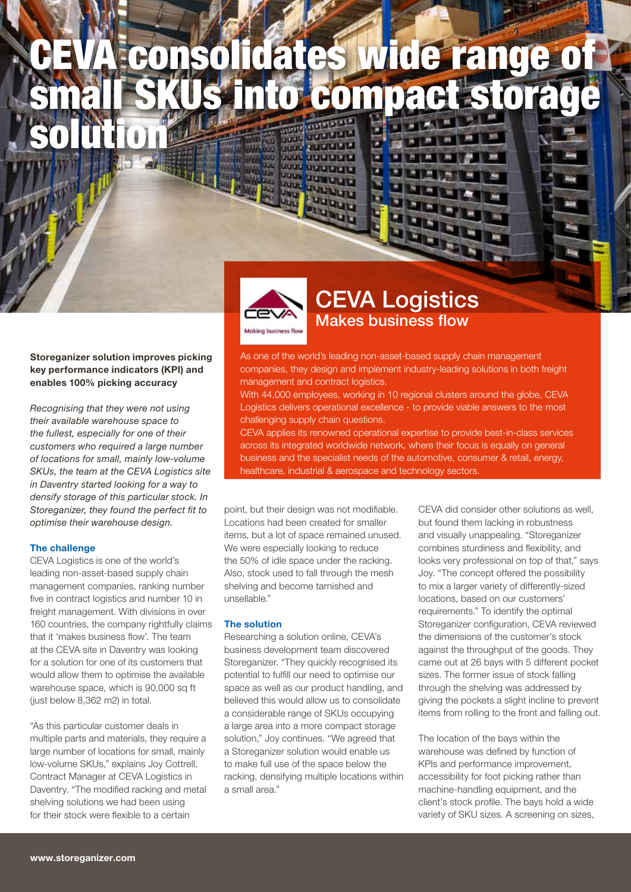# CEVA consolidates wide range of small SKUs into compact storage solution

Storeganizer solution improves picking key performance indicators (KPI) and enables 100% picking accuracy

*Recognising that they were not using their available warehouse space to the fullest, especially for one of their customers who required a large number of locations for small, mainly low-volume SKUs, the team at the CEVA Logistics site in Daventry started looking for a way to densify storage of this particular stock. In Storeganizer, they found the perfect fit to optimise their warehouse design.* 

#### The challenge

CEVA Logistics is one of the world's leading non-asset-based supply chain management companies, ranking number five in contract logistics and number 10 in freight management. With divisions in over 160 countries, the company rightfully claims that it 'makes business flow'. The team at the CEVA site in Daventry was looking for a solution for one of its customers that would allow them to optimise the available warehouse space, which is 90,000 sq ft (just below 8,362 m2) in total.

"As this particular customer deals in multiple parts and materials, they require a large number of locations for small, mainly low-volume SKUs," explains Joy Cottrell, Contract Manager at CEVA Logistics in Daventry. "The modified racking and metal shelving solutions we had been using for their stock were flexible to a certain



## CEVA Logistics Makes business flow

Ē

As one of the world's leading non-asset-based supply chain management companies, they design and implement industry-leading solutions in both freight management and contract logistics.

With 44,000 employees, working in 10 regional clusters around the globe, CEVA Logistics delivers operational excellence - to provide viable answers to the most challenging supply chain questions.

CEVA applies its renowned operational expertise to provide best-in-class services across its integrated worldwide network, where their focus is equally on general business and the specialist needs of the automotive, consumer & retail, energy, healthcare, industrial & aerospace and technology sectors.

point, but their design was not modifiable. Locations had been created for smaller items, but a lot of space remained unused. We were especially looking to reduce the 50% of idle space under the racking. Also, stock used to fall through the mesh shelving and become tarnished and unsellable."

### The solution

Researching a solution online, CEVA's business development team discovered Storeganizer. "They quickly recognised its potential to fulfill our need to optimise our space as well as our product handling, and believed this would allow us to consolidate a considerable range of SKUs occupying a large area into a more compact storage solution," Joy continues. "We agreed that a Storeganizer solution would enable us to make full use of the space below the racking, densifying multiple locations within a small area."

CEVA did consider other solutions as well, but found them lacking in robustness and visually unappealing. "Storeganizer combines sturdiness and flexibility, and looks very professional on top of that," says Joy. "The concept offered the possibility to mix a larger variety of differently-sized locations, based on our customers' requirements." To identify the optimal Storeganizer configuration, CEVA reviewed the dimensions of the customer's stock against the throughput of the goods. They came out at 26 bays with 5 different pocket sizes. The former issue of stock falling through the shelving was addressed by giving the pockets a slight incline to prevent items from rolling to the front and falling out.

The location of the bays within the warehouse was defined by function of KPIs and performance improvement, accessibility for foot picking rather than machine-handling equipment, and the client's stock profile. The bays hold a wide variety of SKU sizes. A screening on sizes,